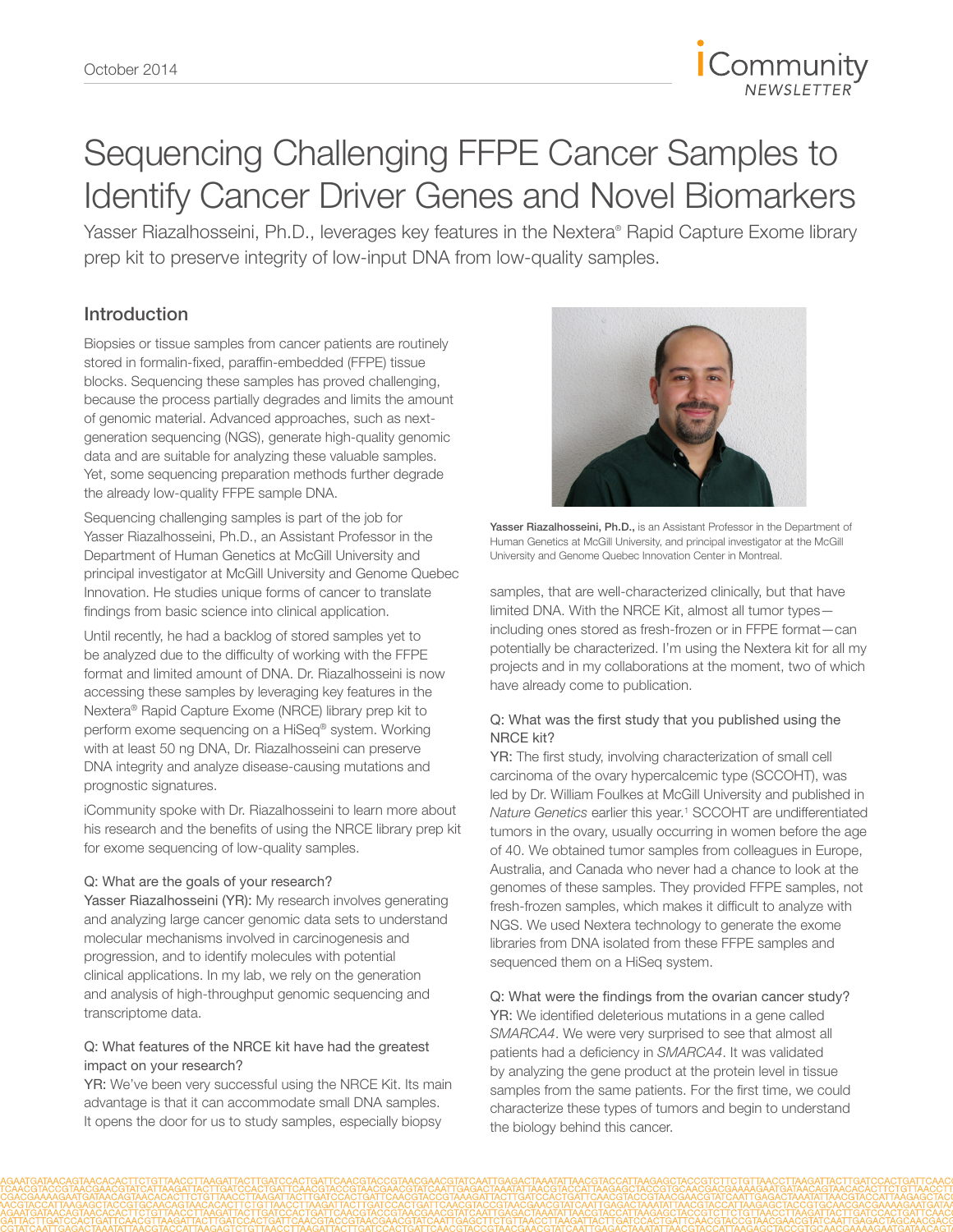

# Sequencing Challenging FFPE Cancer Samples to Identify Cancer Driver Genes and Novel Biomarkers

Yasser Riazalhosseini, Ph.D., leverages key features in the Nextera® Rapid Capture Exome library prep kit to preserve integrity of low-input DNA from low-quality samples.

# Introduction

Biopsies or tissue samples from cancer patients are routinely stored in formalin-fixed, paraffin-embedded (FFPE) tissue blocks. Sequencing these samples has proved challenging, because the process partially degrades and limits the amount of genomic material. Advanced approaches, such as nextgeneration sequencing (NGS), generate high-quality genomic data and are suitable for analyzing these valuable samples. Yet, some sequencing preparation methods further degrade the already low-quality FFPE sample DNA.

Sequencing challenging samples is part of the job for Yasser Riazalhosseini, Ph.D., an Assistant Professor in the Department of Human Genetics at McGill University and principal investigator at McGill University and Genome Quebec Innovation. He studies unique forms of cancer to translate findings from basic science into clinical application.

Until recently, he had a backlog of stored samples yet to be analyzed due to the difficulty of working with the FFPE format and limited amount of DNA. Dr. Riazalhosseini is now accessing these samples by leveraging key features in the Nextera® Rapid Capture Exome (NRCE) library prep kit to perform exome sequencing on a HiSeq® system. Working with at least 50 ng DNA, Dr. Riazalhosseini can preserve DNA integrity and analyze disease-causing mutations and prognostic signatures.

iCommunity spoke with Dr. Riazalhosseini to learn more about his research and the benefits of using the NRCE library prep kit for exome sequencing of low-quality samples.

#### Q: What are the goals of your research?

Yasser Riazalhosseini (YR): My research involves generating and analyzing large cancer genomic data sets to understand molecular mechanisms involved in carcinogenesis and progression, and to identify molecules with potential clinical applications. In my lab, we rely on the generation and analysis of high-throughput genomic sequencing and transcriptome data.

#### Q: What features of the NRCE kit have had the greatest impact on your research?

YR: We've been very successful using the NRCE Kit. Its main advantage is that it can accommodate small DNA samples. It opens the door for us to study samples, especially biopsy



Yasser Riazalhosseini, Ph.D., is an Assistant Professor in the Department of Human Genetics at McGill University, and principal investigator at the McGill University and Genome Quebec Innovation Center in Montreal.

samples, that are well-characterized clinically, but that have limited DNA. With the NRCE Kit, almost all tumor types including ones stored as fresh-frozen or in FFPE format—can potentially be characterized. I'm using the Nextera kit for all my projects and in my collaborations at the moment, two of which have already come to publication.

#### Q: What was the first study that you published using the NRCE kit?

YR: The first study, involving characterization of small cell carcinoma of the ovary hypercalcemic type (SCCOHT), was led by Dr. William Foulkes at McGill University and published in Nature Genetics earlier this year.<sup>1</sup> SCCOHT are undifferentiated tumors in the ovary, usually occurring in women before the age of 40. We obtained tumor samples from colleagues in Europe, Australia, and Canada who never had a chance to look at the genomes of these samples. They provided FFPE samples, not fresh-frozen samples, which makes it difficult to analyze with NGS. We used Nextera technology to generate the exome libraries from DNA isolated from these FFPE samples and sequenced them on a HiSeq system.

Q: What were the findings from the ovarian cancer study? YR: We identified deleterious mutations in a gene called *SMARCA4*. We were very surprised to see that almost all patients had a deficiency in *SMARCA4*. It was validated by analyzing the gene product at the protein level in tissue samples from the same patients. For the first time, we could characterize these types of tumors and begin to understand the biology behind this cancer.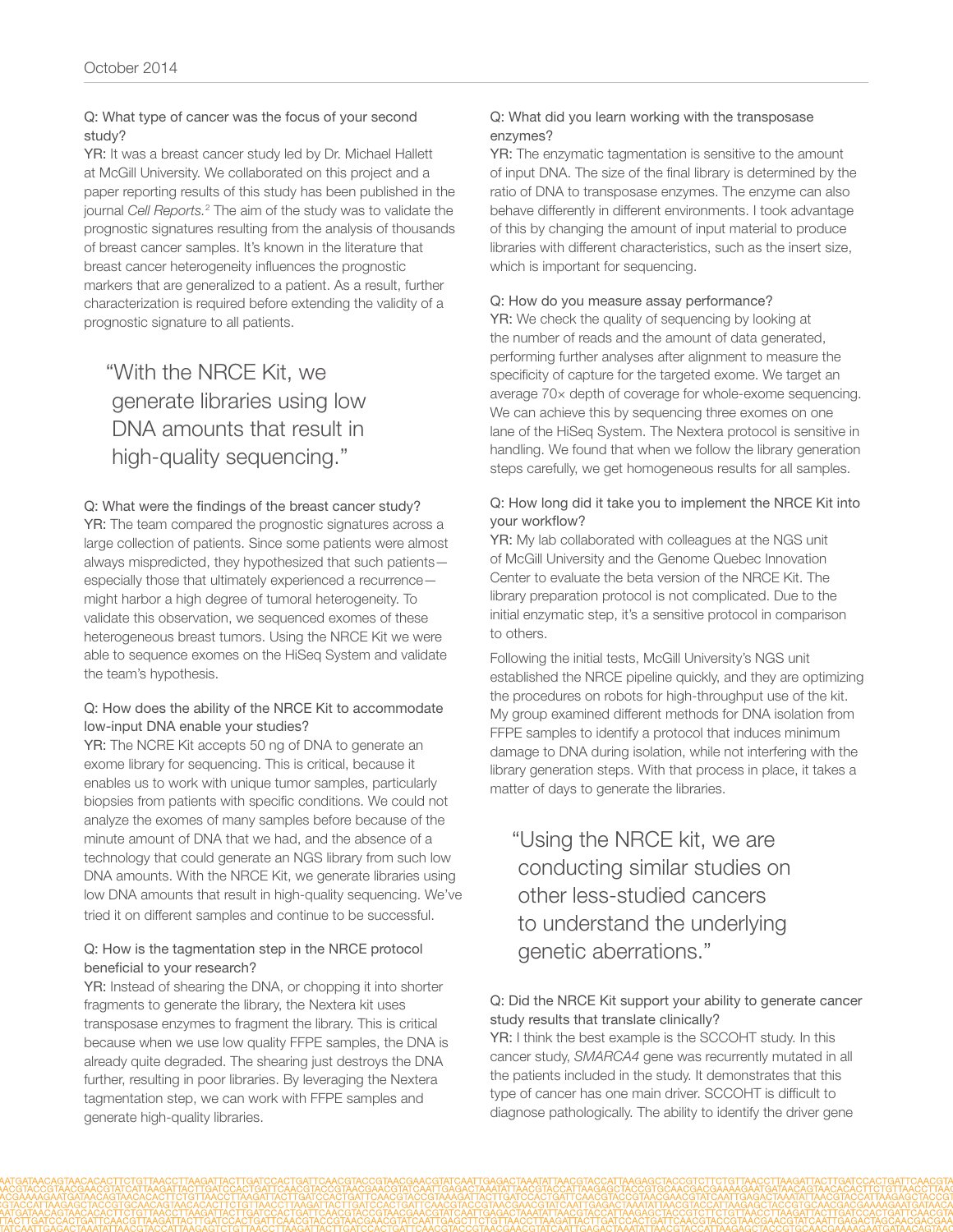#### Q: What type of cancer was the focus of your second study?

YR: It was a breast cancer study led by Dr. Michael Hallett at McGill University. We collaborated on this project and a paper reporting results of this study has been published in the journal *Cell Reports.*<sup>2</sup> The aim of the study was to validate the prognostic signatures resulting from the analysis of thousands of breast cancer samples. It's known in the literature that breast cancer heterogeneity influences the prognostic markers that are generalized to a patient. As a result, further characterization is required before extending the validity of a prognostic signature to all patients.

# "With the NRCE Kit, we generate libraries using low DNA amounts that result in high-quality sequencing."

### Q: What were the findings of the breast cancer study?

YR: The team compared the prognostic signatures across a large collection of patients. Since some patients were almost always mispredicted, they hypothesized that such patients especially those that ultimately experienced a recurrence might harbor a high degree of tumoral heterogeneity. To validate this observation, we sequenced exomes of these heterogeneous breast tumors. Using the NRCE Kit we were able to sequence exomes on the HiSeq System and validate the team's hypothesis.

#### Q: How does the ability of the NRCE Kit to accommodate low-input DNA enable your studies?

YR: The NCRE Kit accepts 50 ng of DNA to generate an exome library for sequencing. This is critical, because it enables us to work with unique tumor samples, particularly biopsies from patients with specific conditions. We could not analyze the exomes of many samples before because of the minute amount of DNA that we had, and the absence of a technology that could generate an NGS library from such low DNA amounts. With the NRCE Kit, we generate libraries using low DNA amounts that result in high-quality sequencing. We've tried it on different samples and continue to be successful.

#### Q: How is the tagmentation step in the NRCE protocol beneficial to your research?

YR: Instead of shearing the DNA, or chopping it into shorter fragments to generate the library, the Nextera kit uses transposase enzymes to fragment the library. This is critical because when we use low quality FFPE samples, the DNA is already quite degraded. The shearing just destroys the DNA further, resulting in poor libraries. By leveraging the Nextera tagmentation step, we can work with FFPE samples and generate high-quality libraries.

#### Q: What did you learn working with the transposase enzymes?

YR: The enzymatic tagmentation is sensitive to the amount of input DNA. The size of the final library is determined by the ratio of DNA to transposase enzymes. The enzyme can also behave differently in different environments. I took advantage of this by changing the amount of input material to produce libraries with different characteristics, such as the insert size, which is important for sequencing.

#### Q: How do you measure assay performance?

YR: We check the quality of sequencing by looking at the number of reads and the amount of data generated, performing further analyses after alignment to measure the specificity of capture for the targeted exome. We target an average 70× depth of coverage for whole-exome sequencing. We can achieve this by sequencing three exomes on one lane of the HiSeq System. The Nextera protocol is sensitive in handling. We found that when we follow the library generation steps carefully, we get homogeneous results for all samples.

#### Q: How long did it take you to implement the NRCE Kit into your workflow?

YR: My lab collaborated with colleagues at the NGS unit of McGill University and the Genome Quebec Innovation Center to evaluate the beta version of the NRCE Kit. The library preparation protocol is not complicated. Due to the initial enzymatic step, it's a sensitive protocol in comparison to others.

Following the initial tests, McGill University's NGS unit established the NRCE pipeline quickly, and they are optimizing the procedures on robots for high-throughput use of the kit. My group examined different methods for DNA isolation from FFPE samples to identify a protocol that induces minimum damage to DNA during isolation, while not interfering with the library generation steps. With that process in place, it takes a matter of days to generate the libraries.

"Using the NRCE kit, we are conducting similar studies on other less-studied cancers to understand the underlying genetic aberrations."

#### Q: Did the NRCE Kit support your ability to generate cancer study results that translate clinically?

YR: I think the best example is the SCCOHT study. In this cancer study, *SMARCA4* gene was recurrently mutated in all the patients included in the study. It demonstrates that this type of cancer has one main driver. SCCOHT is difficult to diagnose pathologically. The ability to identify the driver gene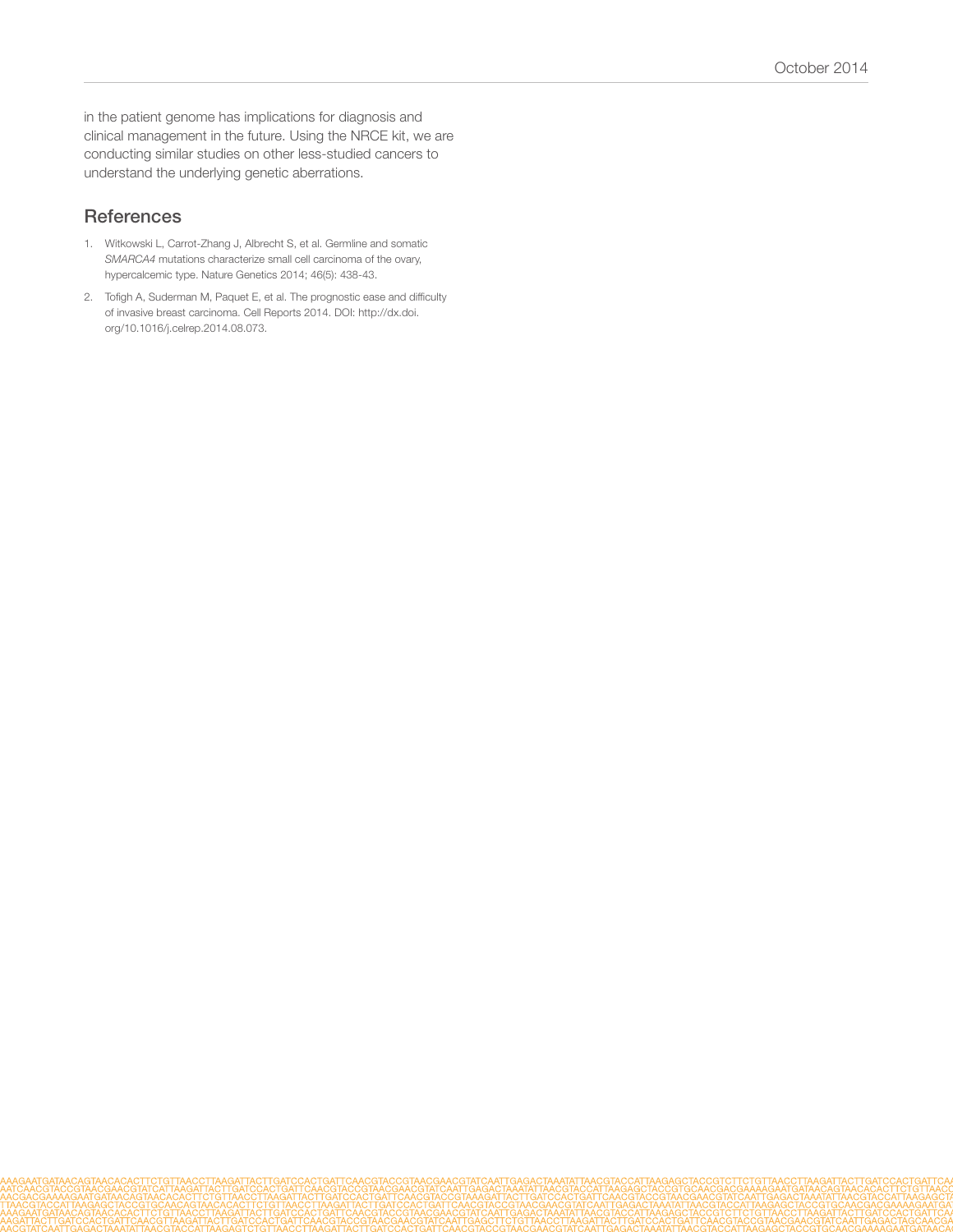in the patient genome has implications for diagnosis and clinical management in the future. Using the NRCE kit, we are conducting similar studies on other less-studied cancers to understand the underlying genetic aberrations.

## **References**

- 1. [Witkowski L, Carrot-Zhang J, Albrecht S, et al. Germline and somatic](http://www.ncbi.nlm.nih.gov/pubmed/24658002)  *SMARCA4* [mutations characterize small cell carcinoma of the ovary,](http://www.ncbi.nlm.nih.gov/pubmed/24658002)  [hypercalcemic type. Nature Genetics 2014; 46\(5\): 438-43.](http://www.ncbi.nlm.nih.gov/pubmed/24658002)
- 2. [Tofigh A, Suderman M, Paquet E, et al. The prognostic ease and difficulty](http://dx.doi.org/10.1016/j.celrep.2014.08.073)  [of invasive breast carcinoma. Cell Reports 2014. DOI: http://dx.doi.](http://dx.doi.org/10.1016/j.celrep.2014.08.073) [org/10.1016/j.celrep.2014.08.073.](http://dx.doi.org/10.1016/j.celrep.2014.08.073)